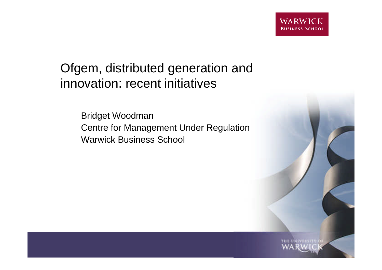### Ofgem, distributed generation and innovation: recent initiatives

Bridget Woodman Centre for Management Under Regulation Warwick Business School

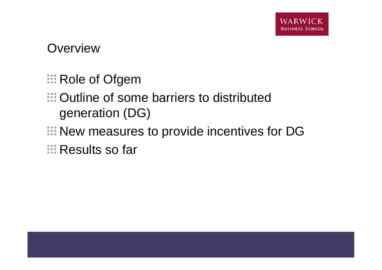**Overview** 

- **EXECUTE:** Role of Ofgem
- Outline of some barriers to distributed generation (DG)
- New measures to provide incentives for DG
- **Executed Sofar**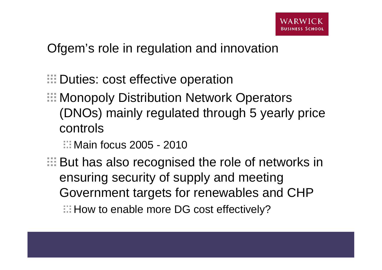Ofgem's role in regulation and innovation

- **EDuties: cost effective operation**
- **E: Monopoly Distribution Network Operators** (DNOs) mainly regulated through 5 yearly price controls

**Main focus 2005 - 2010** 

**EXECUTE:** But has also recognised the role of networks in ensuring security of supply and meeting Government targets for renewables and CHP  $\Box$ : How to enable more DG cost effectively?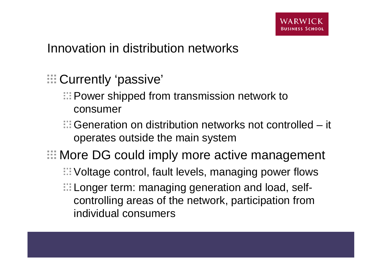#### Innovation in distribution networks

- **E.** Currently 'passive'
	- **EDED FROM FROM FROM FROM STATE EXAMPLE THE POWER Shipped from transmission network to** consumer
	- Generation on distribution networks not controlled it operates outside the main system
- **E: More DG could imply more active management** Voltage control, fault levels, managing power flows **Longer term: managing generation and load, self**controlling areas of the network, participation from individual consumers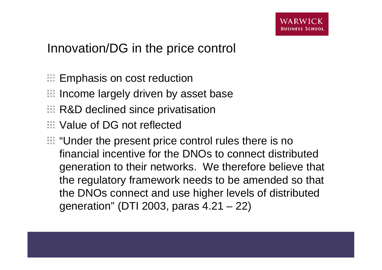### Innovation/DG in the price control

- **Emphasis on cost reduction**
- $\mathbb H$  Income largely driven by asset base
- **E: R&D declined since privatisation**
- **EXECUTE:** Value of DG not reflected
- **EXAMPLE:** "Under the present price control rules there is no financial incentive for the DNOs to connect distributed generation to their networks. We therefore believe that the regulatory framework needs to be amended so that the DNOs connect and use higher levels of distributed generation" (DTI 2003, paras 4.21 – 22)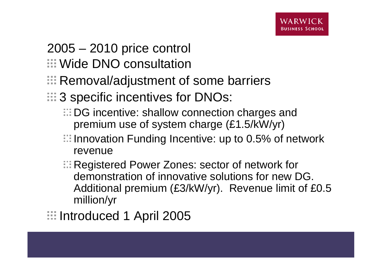# 2005 – 2010 price control

- **EDIMITY Wide DNO consultation**
- **E: Removal/adjustment of some barriers**
- **3** specific incentives for DNOs:
	- **EDG** incentive: shallow connection charges and premium use of system charge (£1.5/kW/yr)
	- $\Box$  Innovation Funding Incentive: up to 0.5% of network revenue
	- **E: Registered Power Zones: sector of network for** demonstration of innovative solutions for new DG. Additional premium (£3/kW/yr). Revenue limit of £0.5 million/yr
- **III Introduced 1 April 2005**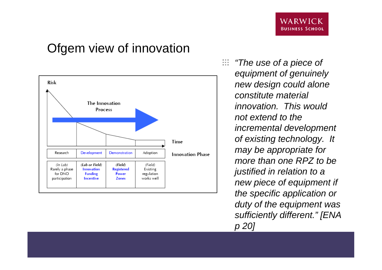#### Ofgem view of innovation



 $\frac{1}{2} \frac{1}{2} \frac{1}{2}$ *"The use of a piece of equipment of genuinely new design could alone constitute material innovation. This would not extend to the incremental development of existing technology. It may be appropriate for more than one RPZ to be justified in relation to a new piece of equipment if the specific application or duty of the equipment was sufficiently different." [ENA p 20]*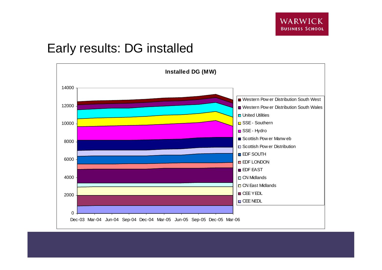#### Early results: DG installed

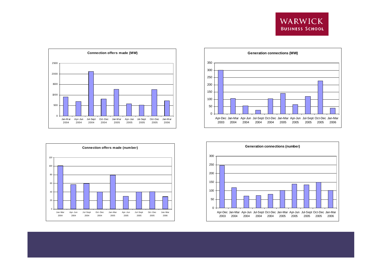







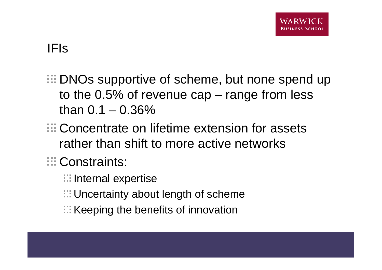### IFIs

- **EDNOs supportive of scheme, but none spend up** to the 0.5% of revenue cap – range from less than  $0.1 - 0.36\%$
- **E.** Concentrate on lifetime extension for assets rather than shift to more active networks

## **E**: Constraints:

- **III** Internal expertise
- **ED** Uncertainty about length of scheme
- $\mathbb H$ : Keeping the benefits of innovation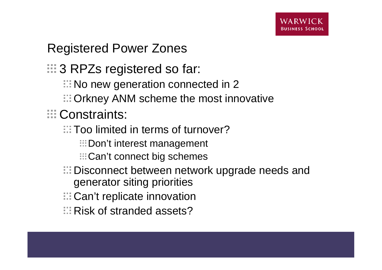## Registered Power Zones

**3 RPZs registered so far:** 

- **EXECUTE:** No new generation connected in 2
- **ED** Orkney ANM scheme the most innovative
- **ED** Constraints:
	- Too limited in terms of turnover?
		- **EDon't interest management**
		- **EE** Can't connect big schemes
	- **EDisconnect between network upgrade needs and** generator siting priorities
	- **E.** Can't replicate innovation
	- **Risk of stranded assets?**